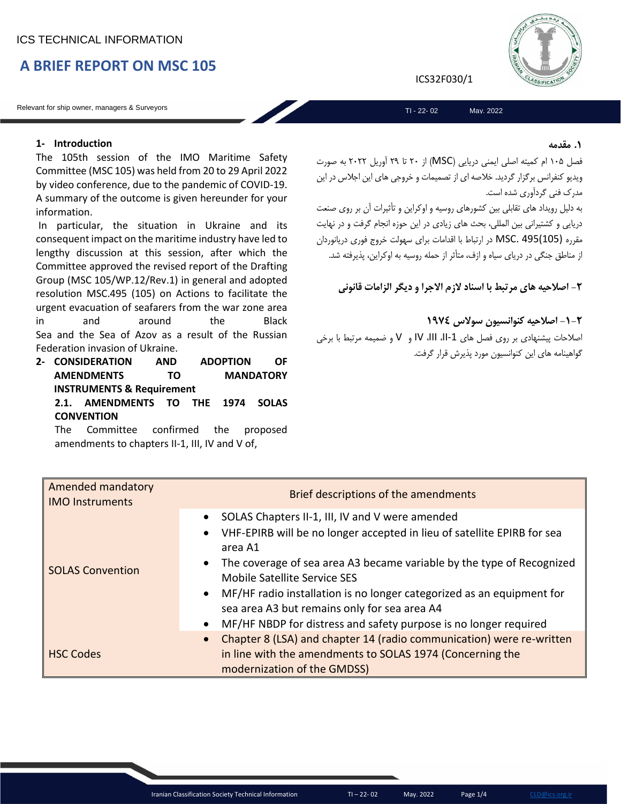# **A BRIEF REPORT ON MSC 105**

Relevant for ship owner, managers & Surveyors

# **1- Introduction**

The 105th session of the IMO Maritime Safety Committee (MSC 105) was held from 20 to 29 April 2022 by video conference, due to the pandemic of COVID-19. A summary of the outcome is given hereunder for your information.

In particular, the situation in Ukraine and its consequent impact on the maritime industry have led to lengthy discussion at this session, after which the Committee approved the revised report of the Drafting Group (MSC 105/WP.12/Rev.1) in general and adopted resolution MSC.495 (105) on Actions to facilitate the urgent evacuation of seafarers from the war zone area in and around the Black Sea and the Sea of Azov as a result of the Russian Federation invasion of Ukraine.

**2- CONSIDERATION AND ADOPTION OF AMENDMENTS TO MANDATORY INSTRUMENTS & Requirement 2.1. AMENDMENTS TO THE 1974 SOLAS CONVENTION**

The Committee confirmed the proposed amendments to chapters II-1, III, IV and V of,

ICS32F030/1

TI - 22- 02 May. 2022

#### **.1 مقدمه**

فصل 105 ام کمیته اصلی ایمنی دریایی )MSC )از 20 تا 29 آوریل 2022 به صورت ویدیو کنفرانس برگزار گردید. خالصه ای از تصمیمات و خروجی های این اجالس در این مدرک فنی گردآوری شده است.

به دلیل رویداد های تقابلی بین کشورهای روسیه و اوکراین و تأثیرات آن بر روی صنعت دریایی و کشتیرانی بین المللی، بحث های زیادی در این حوزه انجام گرفت و در نهایت مقرره (105)495 .MSC در ارتباط با اقدامات برای سهولت خروج فوری دریانوردان از مناطق جنگی در دریای سیاه و ازف، متأثر از حمله روسیه به اوکراین، پذیرفته شد.

**-2 اصالحیه های مرتبط با اسناد الزم االجرا و دیگر الزامات قانونی**

**-1-2 اصالحیه کنوانسیون سوالس 1974**

اصالحات پیشنهادی بر روی فصل های -1II، III، IV و V و ضمیمه مرتبط با برخی گواهینامه های این کنوانسیون مورد پذیرش قرار گرفت.

| Amended mandatory<br><b>IMO Instruments</b> | Brief descriptions of the amendments                                                                                                                                          |
|---------------------------------------------|-------------------------------------------------------------------------------------------------------------------------------------------------------------------------------|
|                                             | SOLAS Chapters II-1, III, IV and V were amended<br>$\bullet$<br>VHF-EPIRB will be no longer accepted in lieu of satellite EPIRB for sea<br>$\bullet$<br>area A1               |
| <b>SOLAS Convention</b>                     | The coverage of sea area A3 became variable by the type of Recognized<br>$\bullet$<br>Mobile Satellite Service SES                                                            |
|                                             | MF/HF radio installation is no longer categorized as an equipment for<br>$\bullet$<br>sea area A3 but remains only for sea area A4                                            |
|                                             | MF/HF NBDP for distress and safety purpose is no longer required<br>$\bullet$                                                                                                 |
| <b>HSC Codes</b>                            | Chapter 8 (LSA) and chapter 14 (radio communication) were re-written<br>$\bullet$<br>in line with the amendments to SOLAS 1974 (Concerning the<br>modernization of the GMDSS) |

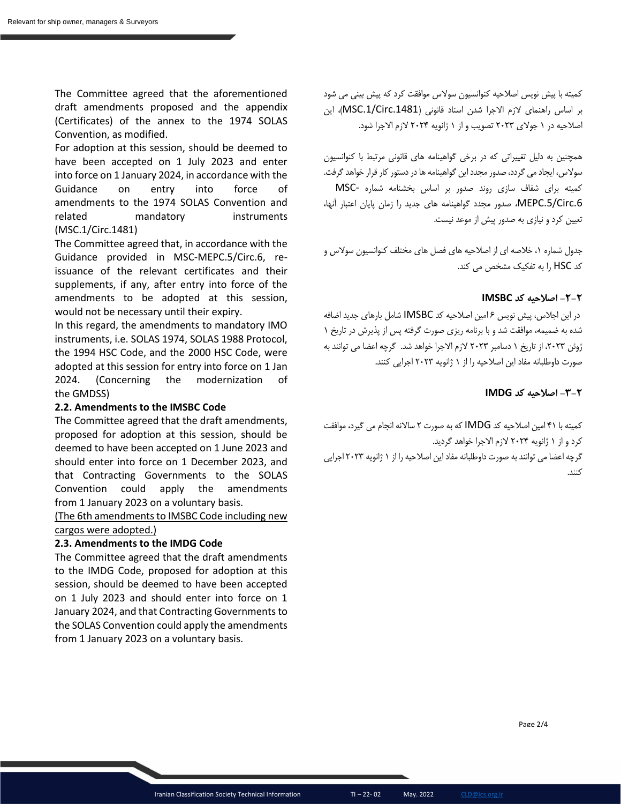The Committee agreed that the aforementioned draft amendments proposed and the appendix (Certificates) of the annex to the 1974 SOLAS Convention, as modified.

For adoption at this session, should be deemed to have been accepted on 1 July 2023 and enter into force on 1 January 2024, in accordance with the Guidance on entry into force of amendments to the 1974 SOLAS Convention and related mandatory instruments (MSC.1/Circ.1481)

The Committee agreed that, in accordance with the Guidance provided in MSC-MEPC.5/Circ.6, reissuance of the relevant certificates and their supplements, if any, after entry into force of the amendments to be adopted at this session, would not be necessary until their expiry.

In this regard, the amendments to mandatory IMO instruments, i.e. SOLAS 1974, SOLAS 1988 Protocol, the 1994 HSC Code, and the 2000 HSC Code, were adopted at this session for entry into force on 1 Jan 2024. (Concerning the modernization of the GMDSS)

### **2.2. Amendments to the IMSBC Code**

The Committee agreed that the draft amendments, proposed for adoption at this session, should be deemed to have been accepted on 1 June 2023 and should enter into force on 1 December 2023, and that Contracting Governments to the SOLAS Convention could apply the amendments from 1 January 2023 on a voluntary basis.

(The 6th amendments to IMSBC Code including new cargos were adopted.)

### **2.3. Amendments to the IMDG Code**

The Committee agreed that the draft amendments to the IMDG Code, proposed for adoption at this session, should be deemed to have been accepted on 1 July 2023 and should enter into force on 1 January 2024, and that Contracting Governments to the SOLAS Convention could apply the amendments from 1 January 2023 on a voluntary basis.

کمیته با پیش نویس اصالحیه کنوانسیون سوالس موافقت کرد که پیش بینی می شود بر اساس راهنمای الزم االجرا شدن اسناد قانونی ).1481Circ.1/MSC)، این اصالحیه در 1 جوالی 2023 تصویب و از 1 ژانویه 2024 الزم االجرا شود.

همچنین به دلیل تغییراتی که در برخی گواهینامه های قانونی مرتبط با کنوانسیون سوالس، ایجاد می گردد، صدور مجدد این گواهینامه ها در دستور کار قرار خواهد گرفت. کمیته برای شفاف سازی روند صدور بر اساس بخشنامه شماره -MSC .6Circ.5/MEPC، صدور مجدد گواهینامه های جدید را زمان پایان اعتبار آنها، تعیین کرد و نیازی به صدور پیش از موعد نیست.

جدول شماره ۰۱ خلاصه ای از اصلاحیه های فصل های مختلف کنوانسیون سولاس و کد HSC را به تفکیک مشخص می کند.

# **-2-2 اصالحیه کد IMSBC**

در این اجالس، پیش نویس 6 امین اصالحیه کد IMSBC شامل بارهای جدید اضافه شده به ضمیمه، موافقت شد و با برنامه ریزی صورت گرفته پس از پذیرش در تاریخ 1 ژوئن ۲۰۲۳، از تاریخ ۱ دسامبر ۲۰۲۳ لازم الاجرا خواهد شد. گرچه اعضا می توانند به صورت داوطلبانه مفاد این اصالحیه را از 1 ژانویه 2023 اجرایی کنند.

## **-3-2 اصالحیه کد IMDG**

کمیته با 41 امین اصالحیه کد IMDG که به صورت 2 ساالنه انجام می گیرد، موافقت کرد و از 1 ژانویه 2024 الزم االجرا خواهد گردید. گرچه اعضا می توانند به صورت داوطلبانه مفاد این اصالحیه را از 1 ژانویه 2023 اجرایی

کنند.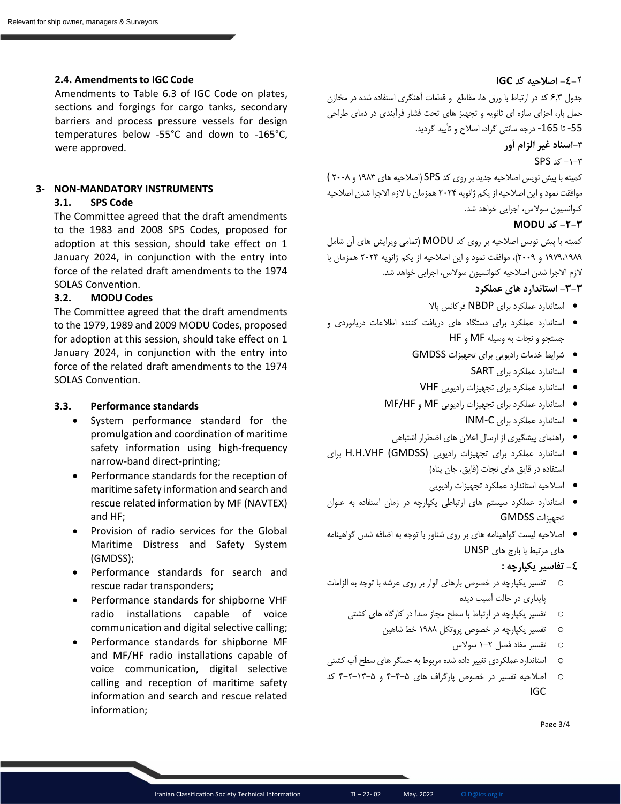#### **2.4. Amendments to IGC Code**

Amendments to Table 6.3 of IGC Code on plates, sections and forgings for cargo tanks, secondary barriers and process pressure vessels for design temperatures below -55°C and down to -165°C, were approved.

# **3- NON-MANDATORY INSTRUMENTS**

# **3.1. SPS Code**

The Committee agreed that the draft amendments to the 1983 and 2008 SPS Codes, proposed for adoption at this session, should take effect on 1 January 2024, in conjunction with the entry into force of the related draft amendments to the 1974 SOLAS Convention.

#### **3.2. MODU Codes**

The Committee agreed that the draft amendments to the 1979, 1989 and 2009 MODU Codes, proposed for adoption at this session, should take effect on 1 January 2024, in conjunction with the entry into force of the related draft amendments to the 1974 SOLAS Convention.

#### **3.3. Performance standards**

- System performance standard for the promulgation and coordination of maritime safety information using high-frequency narrow-band direct-printing;
- Performance standards for the reception of maritime safety information and search and rescue related information by MF (NAVTEX) and HF;
- Provision of radio services for the Global Maritime Distress and Safety System (GMDSS);
- Performance standards for search and rescue radar transponders;
- Performance standards for shipborne VHF radio installations capable of voice communication and digital selective calling;
- Performance standards for shipborne MF and MF/HF radio installations capable of voice communication, digital selective calling and reception of maritime safety information and search and rescue related information;

# **-4-**2 **اصالحیه کد IGC**

جدول 6.3 کد در ارتباط با ورق ها، مقاطع و قطعات آهنگری استفاده شده در مخازن حمل بار، اجزای سازه ای ثانویه و تجهیز های تحت فشار فرآیندی در دمای طراحی -55 تا -165 درجه سانتی گراد، اصالح و تأیید گردید.

# **-**3**اسناد غیر الزام آور**

 $SPS \le -1 - r$ 

کمیته با پیش نویس اصالحیه جدید بر روی کد SPS( اصالحیه های 1983 و 2008 ) موافقت نمود و این اصالحیه از یکم ژانویه 2024 همزمان با الزم االجرا شدن اصالحیه کنوانسیون سوالس، اجرایی خواهد شد.

# **-2-3 کد MODU**

کمیته با پیش نویس اصالحیه بر روی کد MODU( تمامی ویرایش های آن شامل 1979،1989 و 2009(، موافقت نمود و این اصالحیه از یکم ژانویه 2024 همزمان با الزم االجرا شدن اصالحیه کنوانسیون سوالس، اجرایی خواهد شد.

# **-3-3 استاندارد های عملکرد**

- استاندارد عملکرد برای NBDP فرکانس باال
- استاندارد عملکرد برای دستگاه های دریافت کننده اطالعات دریانوردی و جستجو و نجات به وسیله MF و HF
	- شرایط خدمات رادیویی برای تجهیزات GMDSS
		- استاندارد عملکرد برای SART
		- استاندارد عملکرد برای تجهیزات رادیویی VHF
	- استاندارد عملکرد برای تجهیزات رادیویی MF و HF/MF
		- استاندارد عملکرد برای C-INM
		- راهنمای پیشگیری از ارسال اعالن های اضطرار اشتباهی
- استاندارد عملکرد برای تجهیزات رادیویی (GMDSS (VHF.H.H برای استفاده در قایق های نجات (قایق، جان پناه)
	- اصالحیه استاندارد عملکرد تجهیزات رادیویی
- استاندارد عملکرد سیستم های ارتباطی یکپارچه در زمان استفاده به عنوان تجهیزات GMDSS
- اصالحیه لیست گواهینامه های بر روی شناور با توجه به اضافه شدن گواهینامه های مرتبط با بارج های UNSP

### **-4 تفاسیر یکپارچه :**

- o تفسیر یکپارچه در خصوص بارهای الوار بر روی عرشه با توجه به الزامات پایداری در حالت آسیب دیده
	- o تفسیر یکپارچه در ارتباط با سطح مجاز صدا در کارگاه های کشتی
		- o تفسیر یکپارچه در خصوص پروتکل 1988 خط شاهین
			- o تفسیر مفاد فصل 1-2 سوالس
- o استاندارد عملکردی تغییر داده شده مربوط به حسگر های سطح آب کشتی
- o اصالحیه تفسیر در خصوص پارگراف های 4-4-5 و 4-2-13-5 کد IGC

Page 3/4